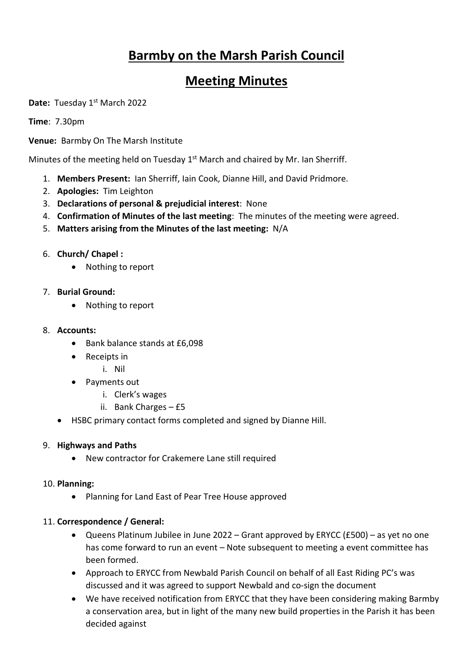# **Barmby on the Marsh Parish Council**

# **Meeting Minutes**

Date: Tuesday 1<sup>st</sup> March 2022

**Time**: 7.30pm

**Venue:** Barmby On The Marsh Institute

Minutes of the meeting held on Tuesday 1<sup>st</sup> March and chaired by Mr. Ian Sherriff.

- 1. **Members Present:** Ian Sherriff, Iain Cook, Dianne Hill, and David Pridmore.
- 2. **Apologies:** Tim Leighton
- 3. **Declarations of personal & prejudicial interest**: None
- 4. **Confirmation of Minutes of the last meeting**: The minutes of the meeting were agreed.
- 5. **Matters arising from the Minutes of the last meeting:** N/A
- 6. **Church/ Chapel :**
	- Nothing to report
- 7. **Burial Ground:** 
	- Nothing to report
- 8. **Accounts:** 
	- Bank balance stands at £6,098
	- Receipts in
		- i. Nil
	- Payments out
		- i. Clerk's wages
		- ii. Bank Charges £5
	- HSBC primary contact forms completed and signed by Dianne Hill.

#### 9. **Highways and Paths**

• New contractor for Crakemere Lane still required

#### 10. **Planning:**

• Planning for Land East of Pear Tree House approved

## 11. **Correspondence / General:**

- Queens Platinum Jubilee in June 2022 Grant approved by ERYCC (£500) as yet no one has come forward to run an event – Note subsequent to meeting a event committee has been formed.
- Approach to ERYCC from Newbald Parish Council on behalf of all East Riding PC's was discussed and it was agreed to support Newbald and co-sign the document
- We have received notification from ERYCC that they have been considering making Barmby a conservation area, but in light of the many new build properties in the Parish it has been decided against